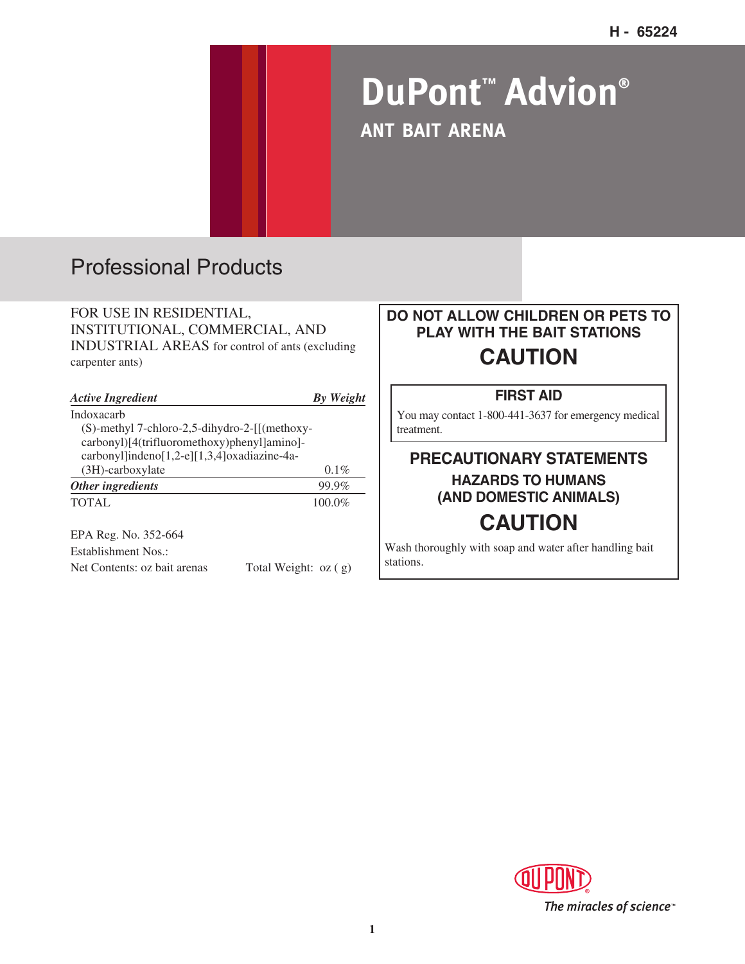# **DuPont™ Advion® ANT BAIT ARENA**

# Professional Products

FOR USE IN RESIDENTIAL, INSTITUTIONAL, COMMERCIAL, AND INDUSTRIAL AREAS for control of ants (excluding carpenter ants)

| <b>Active Ingredient</b>                                 | <b>By</b> Weight |
|----------------------------------------------------------|------------------|
| Indoxacarb                                               |                  |
| $(S)$ -methyl 7-chloro-2,5-dihydro-2- $\left[$ (methoxy- |                  |
| carbonyl)[4(trifluoromethoxy)phenyl]amino]-              |                  |
| carbonyl]indeno[1,2-e][1,3,4]oxadiazine-4a-              |                  |
| $(3H)$ -carboxylate                                      | $0.1\%$          |
| Other ingredients                                        | 99.9%            |
| TOTAL.                                                   | $100.0\%$        |
|                                                          |                  |

EPA Reg. No. 352-664 Establishment Nos.:

Net Contents: oz bait arenas Total Weight: oz ( g)

### **DO NOT ALLOW CHILDREN OR PETS TO PLAY WITH THE BAIT STATIONS CAUTION**

#### **FIRST AID**

You may contact 1-800-441-3637 for emergency medical treatment.

### **PRECAUTIONARY STATEMENTS HAZARDS TO HUMANS (AND DOMESTIC ANIMALS)**

## **CAUTION**

Wash thoroughly with soap and water after handling bait stations.

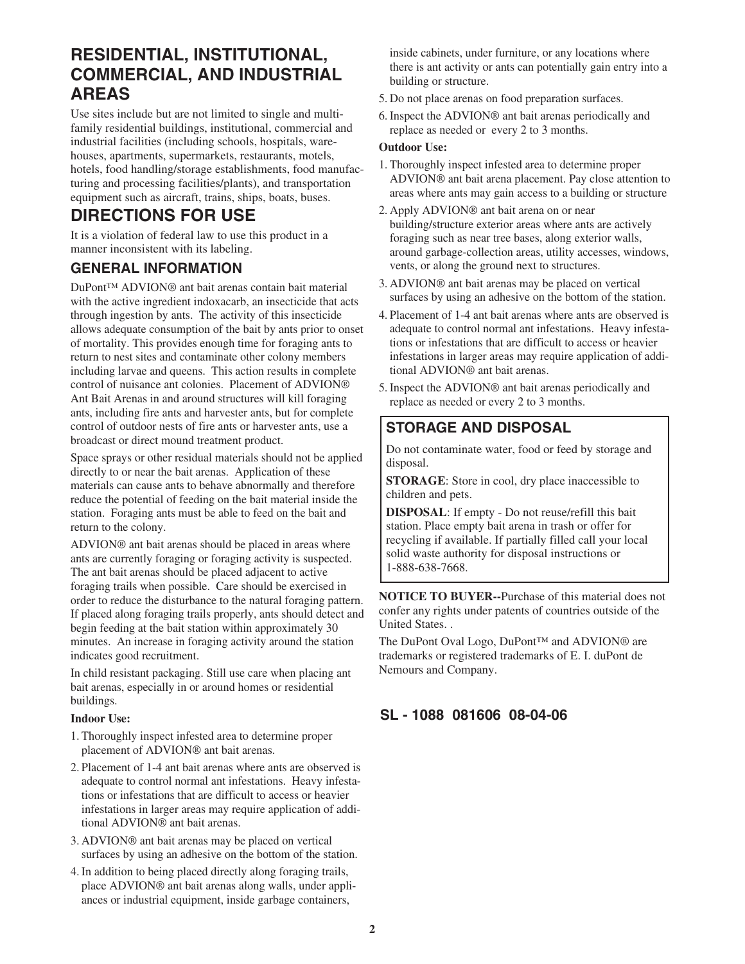### **RESIDENTIAL, INSTITUTIONAL, COMMERCIAL, AND INDUSTRIAL AREAS**

Use sites include but are not limited to single and multifamily residential buildings, institutional, commercial and industrial facilities (including schools, hospitals, warehouses, apartments, supermarkets, restaurants, motels, hotels, food handling/storage establishments, food manufacturing and processing facilities/plants), and transportation equipment such as aircraft, trains, ships, boats, buses.

### **DIRECTIONS FOR USE**

It is a violation of federal law to use this product in a manner inconsistent with its labeling.

#### **GENERAL INFORMATION**

DuPont™ ADVION® ant bait arenas contain bait material with the active ingredient indoxacarb, an insecticide that acts through ingestion by ants. The activity of this insecticide allows adequate consumption of the bait by ants prior to onset of mortality. This provides enough time for foraging ants to return to nest sites and contaminate other colony members including larvae and queens. This action results in complete control of nuisance ant colonies. Placement of ADVION® Ant Bait Arenas in and around structures will kill foraging ants, including fire ants and harvester ants, but for complete control of outdoor nests of fire ants or harvester ants, use a broadcast or direct mound treatment product.

Space sprays or other residual materials should not be applied directly to or near the bait arenas. Application of these materials can cause ants to behave abnormally and therefore reduce the potential of feeding on the bait material inside the station. Foraging ants must be able to feed on the bait and return to the colony.

ADVION® ant bait arenas should be placed in areas where ants are currently foraging or foraging activity is suspected. The ant bait arenas should be placed adjacent to active foraging trails when possible. Care should be exercised in order to reduce the disturbance to the natural foraging pattern. If placed along foraging trails properly, ants should detect and begin feeding at the bait station within approximately 30 minutes. An increase in foraging activity around the station indicates good recruitment.

In child resistant packaging. Still use care when placing ant bait arenas, especially in or around homes or residential buildings.

#### **Indoor Use:**

- 1. Thoroughly inspect infested area to determine proper placement of ADVION® ant bait arenas.
- 2. Placement of 1-4 ant bait arenas where ants are observed is adequate to control normal ant infestations. Heavy infestations or infestations that are difficult to access or heavier infestations in larger areas may require application of additional ADVION® ant bait arenas.
- 3. ADVION® ant bait arenas may be placed on vertical surfaces by using an adhesive on the bottom of the station.
- 4. In addition to being placed directly along foraging trails, place ADVION® ant bait arenas along walls, under appliances or industrial equipment, inside garbage containers,

inside cabinets, under furniture, or any locations where there is ant activity or ants can potentially gain entry into a building or structure.

- 5. Do not place arenas on food preparation surfaces.
- 6. Inspect the ADVION® ant bait arenas periodically and replace as needed or every 2 to 3 months.

#### **Outdoor Use:**

- 1. Thoroughly inspect infested area to determine proper ADVION® ant bait arena placement. Pay close attention to areas where ants may gain access to a building or structure
- 2. Apply ADVION® ant bait arena on or near building/structure exterior areas where ants are actively foraging such as near tree bases, along exterior walls, around garbage-collection areas, utility accesses, windows, vents, or along the ground next to structures.
- 3. ADVION® ant bait arenas may be placed on vertical surfaces by using an adhesive on the bottom of the station.
- 4. Placement of 1-4 ant bait arenas where ants are observed is adequate to control normal ant infestations. Heavy infestations or infestations that are difficult to access or heavier infestations in larger areas may require application of additional ADVION® ant bait arenas.
- 5. Inspect the ADVION® ant bait arenas periodically and replace as needed or every 2 to 3 months.

### **STORAGE AND DISPOSAL**

Do not contaminate water, food or feed by storage and disposal.

**STORAGE**: Store in cool, dry place inaccessible to children and pets.

**DISPOSAL**: If empty - Do not reuse/refill this bait station. Place empty bait arena in trash or offer for recycling if available. If partially filled call your local solid waste authority for disposal instructions or 1-888-638-7668.

**NOTICE TO BUYER--**Purchase of this material does not confer any rights under patents of countries outside of the United States. .

The DuPont Oval Logo, DuPont™ and ADVION® are trademarks or registered trademarks of E. I. duPont de Nemours and Company.

### **SL - 1088 081606 08-04-06**